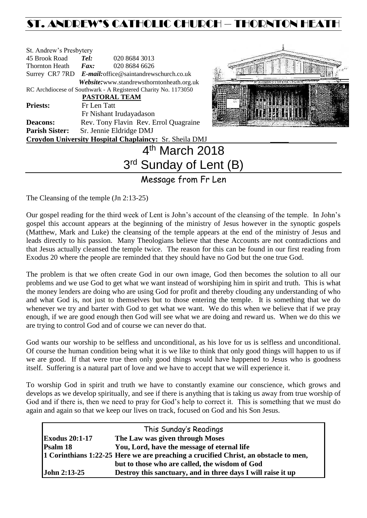# ST. ANDREW'S CATHOLIC CHURCH – THORNTON HEATH

| St. Andrew's Presbytery |                            |                                                                |  |  |  |
|-------------------------|----------------------------|----------------------------------------------------------------|--|--|--|
| 45 Brook Road           | Tel:                       | 020 8684 3013                                                  |  |  |  |
| Thornton Heath          | $\boldsymbol{F}$ ax:       | 020 8684 6626                                                  |  |  |  |
|                         |                            | Surrey CR7 7RD E-mail: office@saintandrewschurch.co.uk         |  |  |  |
|                         |                            | Website: www.standrewsthorntonheath.org.uk                     |  |  |  |
|                         |                            | RC Archdiocese of Southwark - A Registered Charity No. 1173050 |  |  |  |
|                         |                            | PASTORAL TEAM                                                  |  |  |  |
| <b>Priests:</b>         | Fr Len Tatt                |                                                                |  |  |  |
|                         |                            | Fr Nishant Irudayadason                                        |  |  |  |
| <b>Deacons:</b>         |                            | Rev. Tony Flavin Rev. Errol Quagraine                          |  |  |  |
| <b>Parish Sister:</b>   |                            | Sr. Jennie Eldridge DMJ                                        |  |  |  |
|                         |                            | <b>Croydon University Hospital Chaplaincy: Sr. Sheila DMJ</b>  |  |  |  |
|                         | 4 <sup>th</sup> March 2018 |                                                                |  |  |  |
|                         |                            |                                                                |  |  |  |



# 3<sup>rd</sup> Sunday of Lent (B)

Message from Fr Len

The Cleansing of the temple (Jn 2:13-25)

Our gospel reading for the third week of Lent is John's account of the cleansing of the temple. In John's gospel this account appears at the beginning of the ministry of Jesus however in the synoptic gospels (Matthew, Mark and Luke) the cleansing of the temple appears at the end of the ministry of Jesus and leads directly to his passion. Many Theologians believe that these Accounts are not contradictions and that Jesus actually cleansed the temple twice. The reason for this can be found in our first reading from Exodus 20 where the people are reminded that they should have no God but the one true God.

The problem is that we often create God in our own image, God then becomes the solution to all our problems and we use God to get what we want instead of worshiping him in spirit and truth. This is what the money lenders are doing who are using God for profit and thereby clouding any understanding of who and what God is, not just to themselves but to those entering the temple. It is something that we do whenever we try and barter with God to get what we want. We do this when we believe that if we pray enough, if we are good enough then God will see what we are doing and reward us. When we do this we are trying to control God and of course we can never do that.

God wants our worship to be selfless and unconditional, as his love for us is selfless and unconditional. Of course the human condition being what it is we like to think that only good things will happen to us if we are good. If that were true then only good things would have happened to Jesus who is goodness itself. Suffering is a natural part of love and we have to accept that we will experience it.

To worship God in spirit and truth we have to constantly examine our conscience, which grows and develops as we develop spiritually, and see if there is anything that is taking us away from true worship of God and if there is, then we need to pray for God's help to correct it. This is something that we must do again and again so that we keep our lives on track, focused on God and his Son Jesus.

|                       | This Sunday's Readings                                                              |
|-----------------------|-------------------------------------------------------------------------------------|
| <b>Exodus 20:1-17</b> | The Law was given through Moses                                                     |
| Psalm 18              | You, Lord, have the message of eternal life                                         |
|                       | 1 Corinthians 1:22-25 Here we are preaching a crucified Christ, an obstacle to men, |
|                       | but to those who are called, the wisdom of God                                      |
| <b>John 2:13-25</b>   | Destroy this sanctuary, and in three days I will raise it up                        |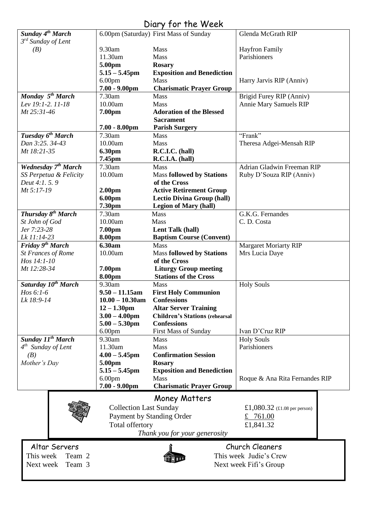# Diary for the Week

| Sunday 4 <sup>th</sup> March                     |                                      | 6.00pm (Saturday) First Mass of Sunday                      | Glenda McGrath RIP                                        |
|--------------------------------------------------|--------------------------------------|-------------------------------------------------------------|-----------------------------------------------------------|
| $3^{rd}$ Sunday of Lent                          |                                      |                                                             |                                                           |
| (B)                                              | 9.30am                               | Mass                                                        | <b>Hayfron Family</b>                                     |
|                                                  | 11.30am                              | <b>Mass</b>                                                 | Parishioners                                              |
|                                                  | 5.00pm                               | <b>Rosary</b>                                               |                                                           |
|                                                  | $5.15 - 5.45$ pm                     | <b>Exposition and Benediction</b>                           |                                                           |
|                                                  | 6.00 <sub>pm</sub>                   | <b>Mass</b>                                                 | Harry Jarvis RIP (Anniv)                                  |
|                                                  | $7.00 - 9.00$ pm                     | <b>Charismatic Prayer Group</b>                             |                                                           |
| Monday 5 <sup>th</sup> March                     | 7.30am                               | <b>Mass</b>                                                 | Brigid Furey RIP (Anniv)                                  |
| Lev 19:1-2, 11-18                                | 10.00am                              | <b>Mass</b>                                                 | <b>Annie Mary Samuels RIP</b>                             |
| Mt 25:31-46                                      | 7.00pm                               | <b>Adoration of the Blessed</b>                             |                                                           |
|                                                  |                                      | <b>Sacrament</b>                                            |                                                           |
|                                                  | $7.00 - 8.00$ pm                     | <b>Parish Surgery</b>                                       | "Frank"                                                   |
| Tuesday 6 <sup>th</sup> March<br>Dan 3:25, 34-43 | 7.30am<br>10.00am                    | <b>Mass</b><br><b>Mass</b>                                  |                                                           |
| Mt 18:21-35                                      |                                      | R.C.I.C. (hall)                                             | Theresa Adgei-Mensah RIP                                  |
|                                                  | 6.30pm<br>7.45pm                     | R.C.I.A. (hall)                                             |                                                           |
| Wednesday 7 <sup>th</sup> March                  | 7.30am                               | <b>Mass</b>                                                 | Adrian Gladwin Freeman RIP                                |
| SS Perpetua & Felicity                           | 10.00am                              | <b>Mass followed by Stations</b>                            | Ruby D'Souza RIP (Anniv)                                  |
| Deut 4:1. 5. 9                                   |                                      | of the Cross                                                |                                                           |
| Mt 5:17-19                                       | 2.00 <sub>pm</sub>                   | <b>Active Retirement Group</b>                              |                                                           |
|                                                  | 6.00pm                               | <b>Lectio Divina Group (hall)</b>                           |                                                           |
|                                                  | 7.30pm                               | <b>Legion of Mary (hall)</b>                                |                                                           |
| Thursday 8 <sup>th</sup> March                   | 7.30am                               | Mass                                                        | G.K.G. Fernandes                                          |
| St John of God                                   | 10.00am                              | Mass                                                        | C.D. Costa                                                |
| Jer 7:23-28                                      | 7.00pm                               | Lent Talk (hall)                                            |                                                           |
| Lk 11:14-23                                      | 8.00pm                               | <b>Baptism Course (Convent)</b>                             |                                                           |
| Friday 9 <sup>th</sup> March                     | 6.30am                               | <b>Mass</b>                                                 | <b>Margaret Moriarty RIP</b>                              |
| <b>St Frances of Rome</b>                        | 10.00am                              | <b>Mass followed by Stations</b>                            | Mrs Lucia Daye                                            |
| Hos 14:1-10                                      |                                      | of the Cross                                                |                                                           |
| Mt 12:28-34                                      | 7.00pm                               | <b>Liturgy Group meeting</b>                                |                                                           |
|                                                  | 8.00pm                               | <b>Stations of the Cross</b>                                |                                                           |
| Saturday 10 <sup>th</sup> March                  | 9.30am                               | <b>Mass</b>                                                 | <b>Holy Souls</b>                                         |
| $H$ os 6:1-6                                     | $9.50 - 11.15$ am                    | <b>First Holy Communion</b>                                 |                                                           |
| Lk 18:9-14                                       | $10.00 - 10.30$ am                   | <b>Confessions</b>                                          |                                                           |
|                                                  | $12 - 1.30$ pm                       | <b>Altar Server Training</b>                                |                                                           |
|                                                  | $3.00 - 4.00$ pm<br>$5.00 - 5.30$ pm | <b>Children's Stations (rehearsal</b><br><b>Confessions</b> |                                                           |
|                                                  | 6.00 <sub>pm</sub>                   | <b>First Mass of Sunday</b>                                 | Ivan D'Cruz RIP                                           |
| Sunday $11^{th}$ March                           | 9.30am                               | <b>Mass</b>                                                 | <b>Holy Souls</b>                                         |
| $4th$ Sunday of Lent                             | 11.30am                              | Mass                                                        | Parishioners                                              |
| (B)                                              | $4.00 - 5.45$ pm                     | <b>Confirmation Session</b>                                 |                                                           |
| Mother's Day                                     | 5.00pm                               | <b>Rosary</b>                                               |                                                           |
|                                                  | $5.15 - 5.45$ pm                     | <b>Exposition and Benediction</b>                           |                                                           |
|                                                  | 6.00 <sub>pm</sub>                   | Mass                                                        | Roque & Ana Rita Fernandes RIP                            |
|                                                  | $7.00 - 9.00$ pm                     | <b>Charismatic Prayer Group</b>                             |                                                           |
|                                                  |                                      |                                                             |                                                           |
|                                                  |                                      | <b>Money Matters</b>                                        |                                                           |
|                                                  | <b>Collection Last Sunday</b>        |                                                             | £1,080.32 $(\text{\textsterling}1.08 \text{ per person})$ |
|                                                  | Payment by Standing Order            |                                                             | £ 761.00                                                  |
|                                                  | Total offertory                      |                                                             | £1,841.32                                                 |
|                                                  |                                      | Thank you for your generosity                               |                                                           |
| Altar Servers                                    |                                      |                                                             | Church Cleaners                                           |
| This week<br>Team 2                              |                                      |                                                             | This week Judie's Crew                                    |
|                                                  |                                      |                                                             |                                                           |
| Team 3<br>Next week                              |                                      |                                                             | Next week Fifi's Group                                    |

I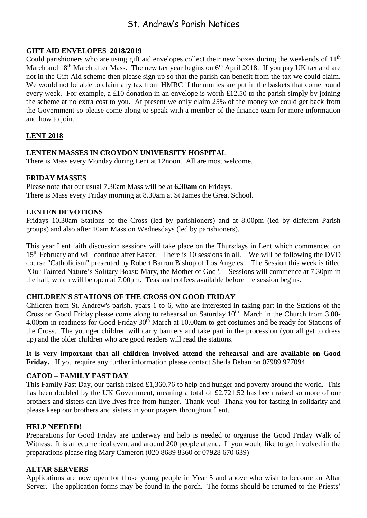# St. Andrew's Parish Notices

# **GIFT AID ENVELOPES 2018/2019**

Could parishioners who are using gift aid envelopes collect their new boxes during the weekends of  $11<sup>th</sup>$ March and  $18<sup>th</sup>$  March after Mass. The new tax year begins on  $6<sup>th</sup>$  April 2018. If you pay UK tax and are not in the Gift Aid scheme then please sign up so that the parish can benefit from the tax we could claim. We would not be able to claim any tax from HMRC if the monies are put in the baskets that come round every week. For example, a £10 donation in an envelope is worth £12.50 to the parish simply by joining the scheme at no extra cost to you. At present we only claim 25% of the money we could get back from the Government so please come along to speak with a member of the finance team for more information and how to join.

# **LENT 2018**

# **LENTEN MASSES IN CROYDON UNIVERSITY HOSPITAL**

There is Mass every Monday during Lent at 12noon. All are most welcome.

# **FRIDAY MASSES**

Please note that our usual 7.30am Mass will be at **6.30am** on Fridays. There is Mass every Friday morning at 8.30am at St James the Great School.

# **LENTEN DEVOTIONS**

Fridays 10.30am Stations of the Cross (led by parishioners) and at 8.00pm (led by different Parish groups) and also after 10am Mass on Wednesdays (led by parishioners).

This year Lent faith discussion sessions will take place on the Thursdays in Lent which commenced on 15<sup>th</sup> February and will continue after Easter. There is 10 sessions in all. We will be following the DVD course "Catholicism" presented by Robert Barron Bishop of Los Angeles. The Session this week is titled "Our Tainted Nature's Solitary Boast: Mary, the Mother of God". Sessions will commence at 7.30pm in the hall, which will be open at 7.00pm. Teas and coffees available before the session begins.

#### **CHILDREN'S STATIONS OF THE CROSS ON GOOD FRIDAY**

Children from St. Andrew's parish, years 1 to 6, who are interested in taking part in the Stations of the Cross on Good Friday please come along to rehearsal on Saturday  $10<sup>th</sup>$  March in the Church from 3.00-4.00pm in readiness for Good Friday 30<sup>th</sup> March at 10.00am to get costumes and be ready for Stations of the Cross. The younger children will carry banners and take part in the procession (you all get to dress up) and the older children who are good readers will read the stations.

**It is very important that all children involved attend the rehearsal and are available on Good Friday.** If you require any further information please contact Sheila Behan on 07989 977094.

# **CAFOD – FAMILY FAST DAY**

This Family Fast Day, our parish raised £1,360.76 to help end hunger and poverty around the world. This has been doubled by the UK Government, meaning a total of £2,721.52 has been raised so more of our brothers and sisters can live lives free from hunger. Thank you! Thank you for fasting in solidarity and please keep our brothers and sisters in your prayers throughout Lent.

#### **HELP NEEDED!**

Preparations for Good Friday are underway and help is needed to organise the Good Friday Walk of Witness. It is an ecumenical event and around 200 people attend. If you would like to get involved in the preparations please ring Mary Cameron (020 8689 8360 or 07928 670 639)

#### **ALTAR SERVERS**

Applications are now open for those young people in Year 5 and above who wish to become an Altar Server. The application forms may be found in the porch. The forms should be returned to the Priests'